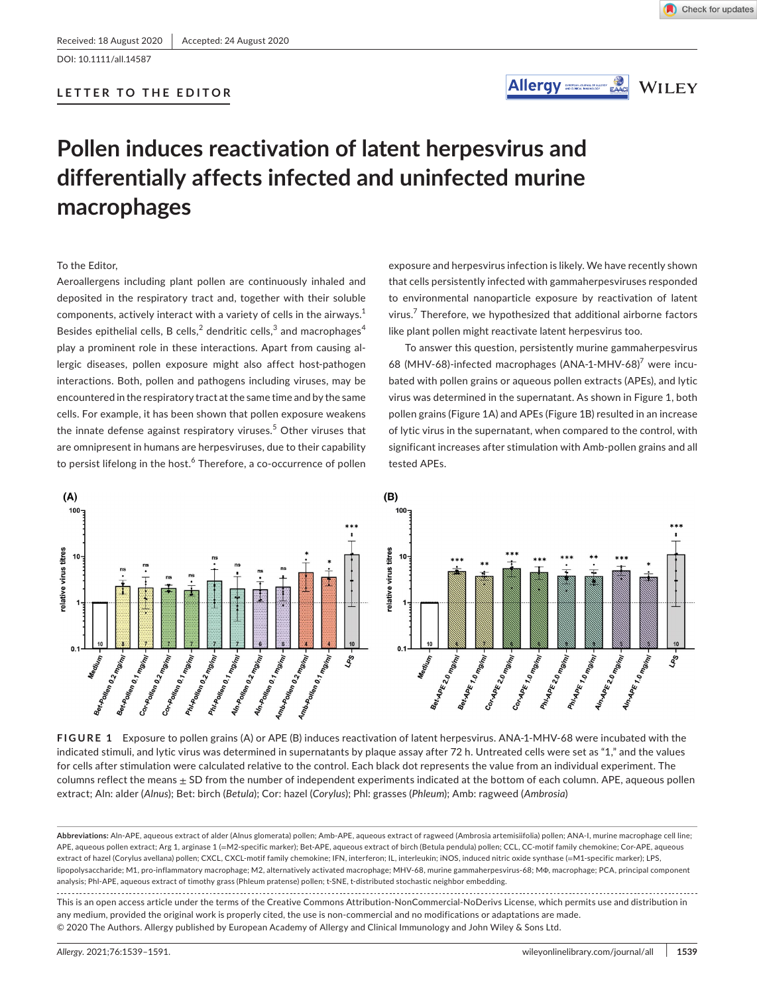DOI: 10.1111/all.14587

# **LETTER TO THE EDITOR**





# **Pollen induces reactivation of latent herpesvirus and differentially affects infected and uninfected murine macrophages**

## To the Editor,

Aeroallergens including plant pollen are continuously inhaled and deposited in the respiratory tract and, together with their soluble components, actively interact with a variety of cells in the airways. $1$ Besides epithelial cells, B cells, $^2$  dendritic cells, $^3$  and macrophages $^4$ play a prominent role in these interactions. Apart from causing allergic diseases, pollen exposure might also affect host-pathogen interactions. Both, pollen and pathogens including viruses, may be encountered in the respiratory tract at the same time and by the same cells. For example, it has been shown that pollen exposure weakens the innate defense against respiratory viruses.<sup>5</sup> Other viruses that are omnipresent in humans are herpesviruses, due to their capability to persist lifelong in the host.<sup>6</sup> Therefore, a co-occurrence of pollen exposure and herpesvirus infection is likely. We have recently shown that cells persistently infected with gammaherpesviruses responded to environmental nanoparticle exposure by reactivation of latent virus.<sup>7</sup> Therefore, we hypothesized that additional airborne factors like plant pollen might reactivate latent herpesvirus too.

To answer this question, persistently murine gammaherpesvirus 68 (MHV-68)-infected macrophages (ANA-1-MHV-68)<sup>7</sup> were incubated with pollen grains or aqueous pollen extracts (APEs), and lytic virus was determined in the supernatant. As shown in Figure 1, both pollen grains (Figure 1A) and APEs (Figure 1B) resulted in an increase of lytic virus in the supernatant, when compared to the control, with significant increases after stimulation with Amb-pollen grains and all tested APEs.





**FIGURE 1** Exposure to pollen grains (A) or APE (B) induces reactivation of latent herpesvirus. ANA-1-MHV-68 were incubated with the indicated stimuli, and lytic virus was determined in supernatants by plaque assay after 72 h. Untreated cells were set as "1," and the values for cells after stimulation were calculated relative to the control. Each black dot represents the value from an individual experiment. The columns reflect the means  $\pm$  SD from the number of independent experiments indicated at the bottom of each column. APE, aqueous pollen extract; Aln: alder (Alnus); Bet: birch (Betula); Cor: hazel (Corylus); Phl: grasses (Phleum); Amb: ragweed (Ambrosia)

**Abbreviations:** Aln-APE, aqueous extract of alder (Alnus glomerata) pollen; Amb-APE, aqueous extract of ragweed (Ambrosia artemisiifolia) pollen; ANA-I, murine macrophage cell line; APE, aqueous pollen extract; Arg 1, arginase 1 (=M2-specific marker); Bet-APE, aqueous extract of birch (Betula pendula) pollen; CCL, CC-motif family chemokine; Cor-APE, aqueous extract of hazel (Corylus avellana) pollen; CXCL, CXCL-motif family chemokine; IFN, interferon; IL, interleukin; iNOS, induced nitric oxide synthase (=M1-specific marker); LPS, lipopolysaccharide; M1, pro-inflammatory macrophage; M2, alternatively activated macrophage; MHV-68, murine gammaherpesvirus-68; MΦ, macrophage; PCA, principal component analysis; Phl-APE, aqueous extract of timothy grass (Phleum pratense) pollen; t-SNE, t-distributed stochastic neighbor embedding.

This is an open access article under the terms of the Creative Commons Attribution-NonCommercial-NoDerivs License, which permits use and distribution in any medium, provided the original work is properly cited, the use is non-commercial and no modifications or adaptations are made. © 2020 The Authors. Allergy published by European Academy of Allergy and Clinical Immunology and John Wiley & Sons Ltd.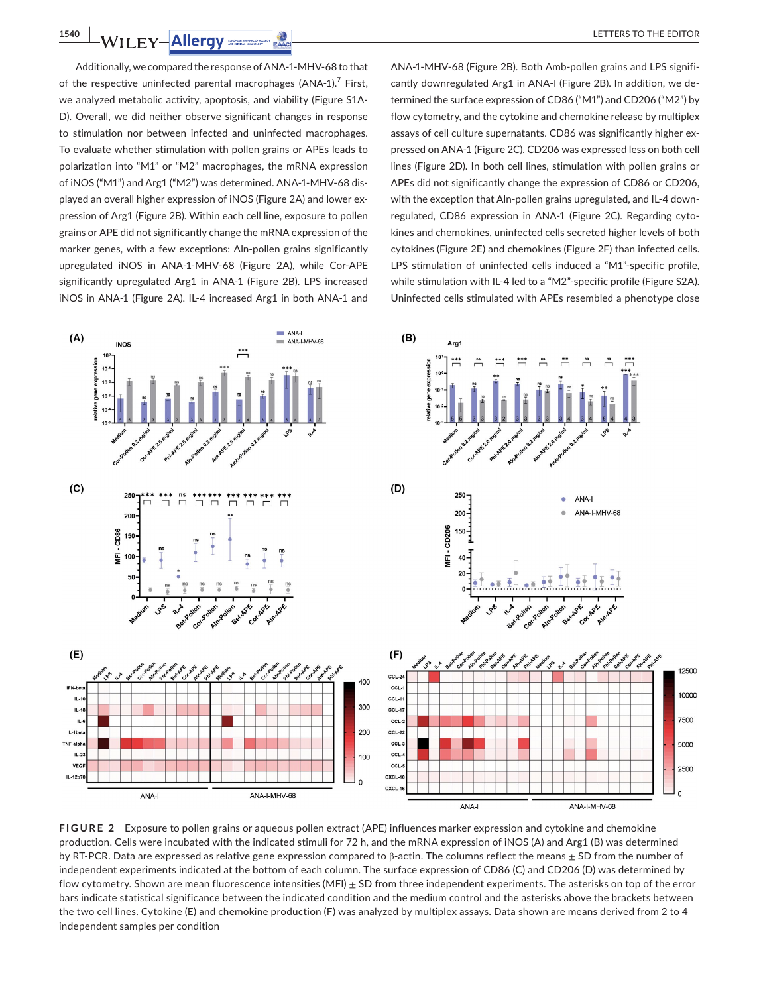**1540 WILEY-Allergy** SECRET CONDUCTS FOR THE EDITOR

Additionally, we compared the response of ANA-1-MHV-68 to that of the respective uninfected parental macrophages (ANA-1).<sup>7</sup> First, we analyzed metabolic activity, apoptosis, and viability (Figure S1A-D). Overall, we did neither observe significant changes in response to stimulation nor between infected and uninfected macrophages. To evaluate whether stimulation with pollen grains or APEs leads to polarization into "M1" or "M2" macrophages, the mRNA expression of iNOS ("M1") and Arg1 ("M2") was determined. ANA-1-MHV-68 displayed an overall higher expression of iNOS (Figure 2A) and lower expression of Arg1 (Figure 2B). Within each cell line, exposure to pollen grains or APE did not significantly change the mRNA expression of the marker genes, with a few exceptions: Aln-pollen grains significantly upregulated iNOS in ANA-1-MHV-68 (Figure 2A), while Cor-APE significantly upregulated Arg1 in ANA-1 (Figure 2B). LPS increased iNOS in ANA-1 (Figure 2A). IL-4 increased Arg1 in both ANA-1 and

ANA-1-MHV-68 (Figure 2B). Both Amb-pollen grains and LPS significantly downregulated Arg1 in ANA-I (Figure 2B). In addition, we determined the surface expression of CD86 ("M1") and CD206 ("M2") by flow cytometry, and the cytokine and chemokine release by multiplex assays of cell culture supernatants. CD86 was significantly higher expressed on ANA-1 (Figure 2C). CD206 was expressed less on both cell lines (Figure 2D). In both cell lines, stimulation with pollen grains or APEs did not significantly change the expression of CD86 or CD206, with the exception that Aln-pollen grains upregulated, and IL-4 downregulated, CD86 expression in ANA-1 (Figure 2C). Regarding cytokines and chemokines, uninfected cells secreted higher levels of both cytokines (Figure 2E) and chemokines (Figure 2F) than infected cells. LPS stimulation of uninfected cells induced a "M1"-specific profile, while stimulation with IL-4 led to a "M2"-specific profile (Figure S2A). Uninfected cells stimulated with APEs resembled a phenotype close



**FIGURE 2** Exposure to pollen grains or aqueous pollen extract (APE) influences marker expression and cytokine and chemokine production. Cells were incubated with the indicated stimuli for 72 h, and the mRNA expression of iNOS (A) and Arg1 (B) was determined by RT-PCR. Data are expressed as relative gene expression compared to  $\beta$ -actin. The columns reflect the means  $\pm$  SD from the number of independent experiments indicated at the bottom of each column. The surface expression of CD86 (C) and CD206 (D) was determined by flow cytometry. Shown are mean fluorescence intensities (MFI)  $\pm$  SD from three independent experiments. The asterisks on top of the error bars indicate statistical significance between the indicated condition and the medium control and the asterisks above the brackets between the two cell lines. Cytokine (E) and chemokine production (F) was analyzed by multiplex assays. Data shown are means derived from 2 to 4 independent samples per condition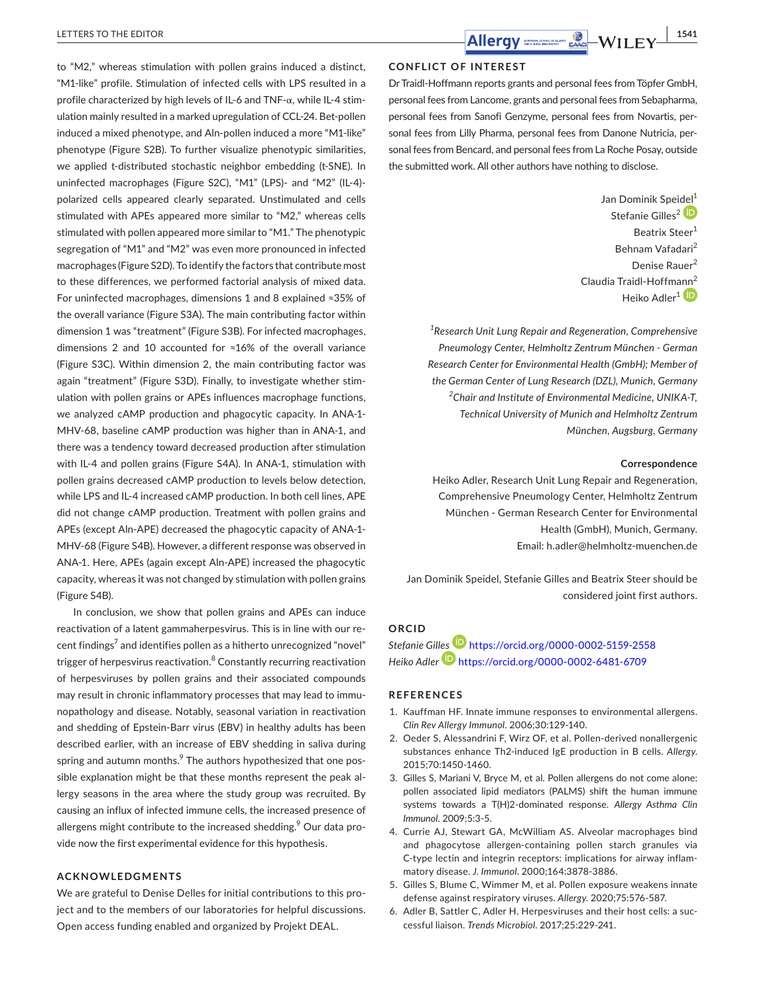to "M2," whereas stimulation with pollen grains induced a distinct, "M1-like" profile. Stimulation of infected cells with LPS resulted in a profile characterized by high levels of IL-6 and TNF-α, while IL-4 stimulation mainly resulted in a marked upregulation of CCL-24. Bet-pollen induced a mixed phenotype, and Aln-pollen induced a more "M1-like" phenotype (Figure S2B). To further visualize phenotypic similarities, we applied t-distributed stochastic neighbor embedding (t-SNE). In uninfected macrophages (Figure S2C), "M1" (LPS)- and "M2" (IL-4) polarized cells appeared clearly separated. Unstimulated and cells stimulated with APEs appeared more similar to "M2," whereas cells stimulated with pollen appeared more similar to "M1." The phenotypic segregation of "M1" and "M2" was even more pronounced in infected macrophages (Figure S2D). To identify the factors that contribute most to these differences, we performed factorial analysis of mixed data. For uninfected macrophages, dimensions 1 and 8 explained ≈35% of the overall variance (Figure S3A). The main contributing factor within dimension 1 was "treatment" (Figure S3B). For infected macrophages, dimensions 2 and 10 accounted for ≈16% of the overall variance (Figure S3C). Within dimension 2, the main contributing factor was again "treatment" (Figure S3D). Finally, to investigate whether stimulation with pollen grains or APEs influences macrophage functions, we analyzed cAMP production and phagocytic capacity. In ANA-1- MHV-68, baseline cAMP production was higher than in ANA-1, and there was a tendency toward decreased production after stimulation with IL-4 and pollen grains (Figure S4A). In ANA-1, stimulation with pollen grains decreased cAMP production to levels below detection, while LPS and IL-4 increased cAMP production. In both cell lines, APE did not change cAMP production. Treatment with pollen grains and APEs (except Aln-APE) decreased the phagocytic capacity of ANA-1- MHV-68 (Figure S4B). However, a different response was observed in ANA-1. Here, APEs (again except Aln-APE) increased the phagocytic capacity, whereas it was not changed by stimulation with pollen grains (Figure S4B).

In conclusion, we show that pollen grains and APEs can induce reactivation of a latent gammaherpesvirus. This is in line with our recent findings $^7$  and identifies pollen as a hitherto unrecognized "novel" trigger of herpesvirus reactivation.<sup>8</sup> Constantly recurring reactivation of herpesviruses by pollen grains and their associated compounds may result in chronic inflammatory processes that may lead to immunopathology and disease. Notably, seasonal variation in reactivation and shedding of Epstein-Barr virus (EBV) in healthy adults has been described earlier, with an increase of EBV shedding in saliva during spring and autumn months.<sup>9</sup> The authors hypothesized that one possible explanation might be that these months represent the peak allergy seasons in the area where the study group was recruited. By causing an influx of infected immune cells, the increased presence of allergens might contribute to the increased shedding. $^9$  Our data provide now the first experimental evidence for this hypothesis.

## **ACKNOWLEDGMENTS**

We are grateful to Denise Delles for initial contributions to this project and to the members of our laboratories for helpful discussions. Open access funding enabled and organized by Projekt DEAL.

## **CONFLICT OF INTEREST**

Dr Traidl-Hoffmann reports grants and personal fees from Töpfer GmbH, personal fees from Lancome, grants and personal fees from Sebapharma, personal fees from Sanofi Genzyme, personal fees from Novartis, personal fees from Lilly Pharma, personal fees from Danone Nutricia, personal fees from Bencard, and personal fees from La Roche Posay, outside the submitted work. All other authors have nothing to disclose.

> Jan Dominik Spei[del](https://orcid.org/0000-0002-5159-2558)<sup>1</sup> Stefanie Gilles<sup>2</sup> Beatrix Steer<sup>1</sup> Behnam Vafadari<sup>2</sup> Denise Rauer<sup>2</sup> Claudia Traidl-Hoffm[ann](https://orcid.org/0000-0002-6481-6709)<sup>2</sup> Heiko Adler<sup>1</sup><sup>(D</sup>

*1 Research Unit Lung Repair and Regeneration, Comprehensive Pneumology Center, Helmholtz Zentrum München - German Research Center for Environmental Health (GmbH); Member of the German Center of Lung Research (DZL), Munich, Germany 2 Chair and Institute of Environmental Medicine, UNIKA-T, Technical University of Munich and Helmholtz Zentrum München, Augsburg, Germany*

### **Correspondence**

Heiko Adler, Research Unit Lung Repair and Regeneration, Comprehensive Pneumology Center, Helmholtz Zentrum München - German Research Center for Environmental Health (GmbH), Munich, Germany. Email: [h.adler@helmholtz-muenchen.de](mailto:h.adler@helmholtz-muenchen.de)

Jan Dominik Speidel, Stefanie Gilles and Beatrix Steer should be considered joint first authors.

# **ORCID**

*Stefanie Gil[les](https://orcid.org/0000-0002-6481-6709)* <https://orcid.org/0000-0002-5159-2558> *Heiko Adler* <https://orcid.org/0000-0002-6481-6709>

#### **REFERENCES**

- 1. Kauffman HF. Innate immune responses to environmental allergens. *Clin Rev Allergy Immunol*. 2006;30:129-140.
- 2. Oeder S, Alessandrini F, Wirz OF, et al. Pollen-derived nonallergenic substances enhance Th2-induced IgE production in B cells. *Allergy*. 2015;70:1450-1460.
- 3. Gilles S, Mariani V, Bryce M, et al. Pollen allergens do not come alone: pollen associated lipid mediators (PALMS) shift the human immune systems towards a T(H)2-dominated response. *Allergy Asthma Clin Immunol*. 2009;5:3-5.
- 4. Currie AJ, Stewart GA, McWilliam AS. Alveolar macrophages bind and phagocytose allergen-containing pollen starch granules via C-type lectin and integrin receptors: implications for airway inflammatory disease. *J. Immunol*. 2000;164:3878-3886.
- 5. Gilles S, Blume C, Wimmer M, et al. Pollen exposure weakens innate defense against respiratory viruses. *Allergy*. 2020;75:576-587.
- 6. Adler B, Sattler C, Adler H. Herpesviruses and their host cells: a successful liaison. *Trends Microbiol*. 2017;25:229-241.